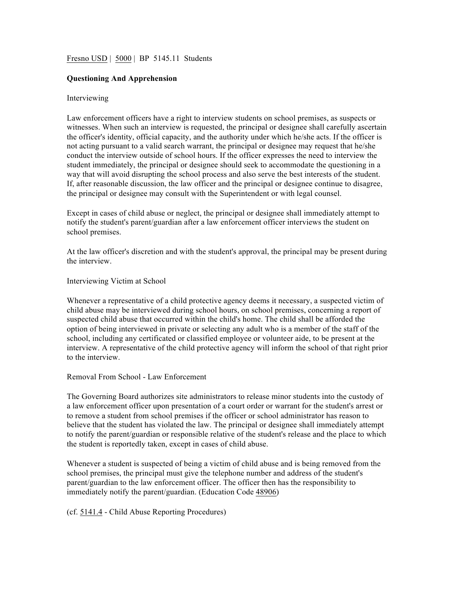# Fresno USD | 5000 | BP 5145.11 Students

# **Questioning And Apprehension**

### Interviewing

Law enforcement officers have a right to interview students on school premises, as suspects or witnesses. When such an interview is requested, the principal or designee shall carefully ascertain the officer's identity, official capacity, and the authority under which he/she acts. If the officer is not acting pursuant to a valid search warrant, the principal or designee may request that he/she conduct the interview outside of school hours. If the officer expresses the need to interview the student immediately, the principal or designee should seek to accommodate the questioning in a way that will avoid disrupting the school process and also serve the best interests of the student. If, after reasonable discussion, the law officer and the principal or designee continue to disagree, the principal or designee may consult with the Superintendent or with legal counsel.

Except in cases of child abuse or neglect, the principal or designee shall immediately attempt to notify the student's parent/guardian after a law enforcement officer interviews the student on school premises.

At the law officer's discretion and with the student's approval, the principal may be present during the interview.

Interviewing Victim at School

Whenever a representative of a child protective agency deems it necessary, a suspected victim of child abuse may be interviewed during school hours, on school premises, concerning a report of suspected child abuse that occurred within the child's home. The child shall be afforded the option of being interviewed in private or selecting any adult who is a member of the staff of the school, including any certificated or classified employee or volunteer aide, to be present at the interview. A representative of the child protective agency will inform the school of that right prior to the interview.

Removal From School - Law Enforcement

The Governing Board authorizes site administrators to release minor students into the custody of a law enforcement officer upon presentation of a court order or warrant for the student's arrest or to remove a student from school premises if the officer or school administrator has reason to believe that the student has violated the law. The principal or designee shall immediately attempt to notify the parent/guardian or responsible relative of the student's release and the place to which the student is reportedly taken, except in cases of child abuse.

Whenever a student is suspected of being a victim of child abuse and is being removed from the school premises, the principal must give the telephone number and address of the student's parent/guardian to the law enforcement officer. The officer then has the responsibility to immediately notify the parent/guardian. (Education Code 48906)

(cf. 5141.4 - Child Abuse Reporting Procedures)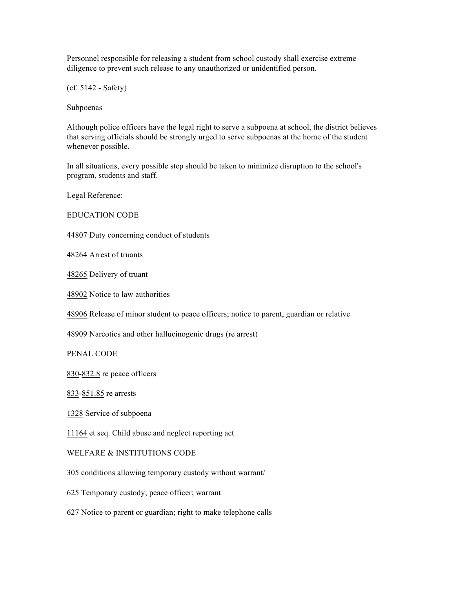Personnel responsible for releasing a student from school custody shall exercise extreme diligence to prevent such release to any unauthorized or unidentified person.

(cf. 5142 - Safety)

Subpoenas

Although police officers have the legal right to serve a subpoena at school, the district believes that serving officials should be strongly urged to serve subpoenas at the home of the student whenever possible.

In all situations, every possible step should be taken to minimize disruption to the school's program, students and staff.

Legal Reference:

EDUCATION CODE

44807 Duty concerning conduct of students

48264 Arrest of truants

48265 Delivery of truant

48902 Notice to law authorities

48906 Release of minor student to peace officers; notice to parent, guardian or relative

48909 Narcotics and other hallucinogenic drugs (re arrest)

PENAL CODE

830-832.8 re peace officers

833-851.85 re arrests

1328 Service of subpoena

11164 et seq. Child abuse and neglect reporting act

### WELFARE & INSTITUTIONS CODE

305 conditions allowing temporary custody without warrant/

625 Temporary custody; peace officer; warrant

627 Notice to parent or guardian; right to make telephone calls